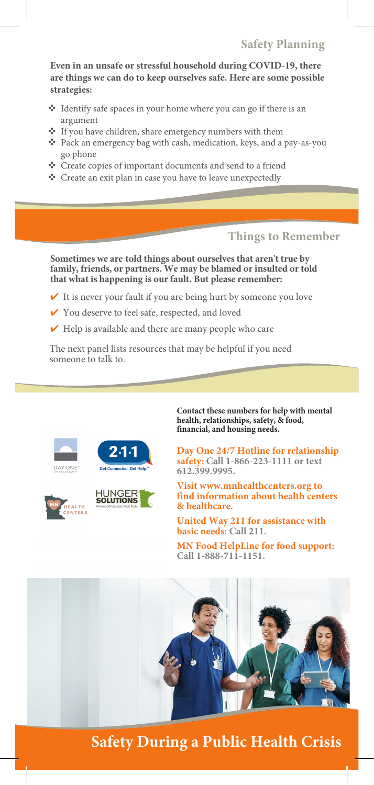## **Safety Planning**

**Even in an unsafe or stressful household during COVID-19, there are things we can do to keep ourselves safe. Here are some possible strategies:**

- Identify safe spaces in your home where you can go if there is an argument
- If you have children, share emergency numbers with them
- Pack an emergency bag with cash, medication, keys, and a pay-as-you go phone
- Create copies of important documents and send to a friend
- Create an exit plan in case you have to leave unexpectedly

**Things to Remember**

**Sometimes we are told things about ourselves that aren't true by family, friends, or partners. We may be blamed or insulted or told that what is happening is our fault. But please remember:**

- $\checkmark$  It is never your fault if you are being hurt by someone you love
- ✔ You deserve to feel safe, respected, and loved
- $\vee$  Help is available and there are many people who care

The next panel lists resources that may be helpful if you need someone to talk to.





**HUNGER**<br>**SOLUTIONS** 



**Contact these numbers for help with mental health, relationships, safety, & food, financial, and housing needs.**

**Day One 24/7 Hotline for relationship safety: Call 1-866-223-1111 or text 612.399.9995.**

**Visit www.mnhealthcenters.org to find information about health centers & healthcare.**

**United Way 211 for assistance with basic needs: Call 211.**

**MN Food HelpLine for food support: Call 1-888-711-1151.**



**Safety During a Public Health Crisis**